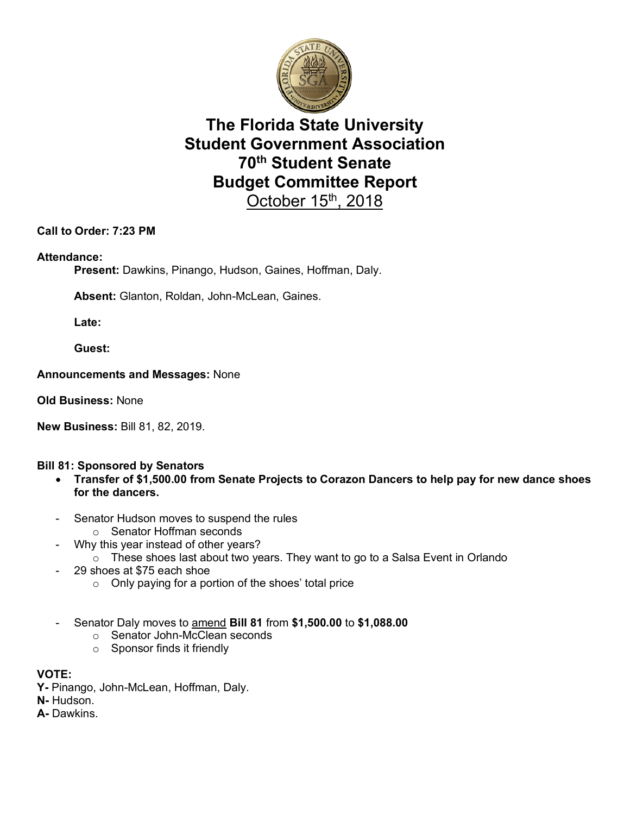

# **The Florida State University Student Government Association 70th Student Senate Budget Committee Report**  October  $15<sup>th</sup>$ , 2018

## **Call to Order: 7:23 PM**

### **Attendance:**

**Present:** Dawkins, Pinango, Hudson, Gaines, Hoffman, Daly.

**Absent:** Glanton, Roldan, John-McLean, Gaines.

**Late:**

**Guest:**

#### **Announcements and Messages:** None

**Old Business:** None

**New Business:** Bill 81, 82, 2019.

### **Bill 81: Sponsored by Senators**

- **Transfer of \$1,500.00 from Senate Projects to Corazon Dancers to help pay for new dance shoes for the dancers.**
- Senator Hudson moves to suspend the rules
	- o Senator Hoffman seconds
- Why this year instead of other years?
	- o These shoes last about two years. They want to go to a Salsa Event in Orlando
- 29 shoes at \$75 each shoe
	- o Only paying for a portion of the shoes' total price
- Senator Daly moves to amend **Bill 81** from **\$1,500.00** to **\$1,088.00**
	- o Senator John-McClean seconds
	- o Sponsor finds it friendly

#### **VOTE:**

- **Y-** Pinango, John-McLean, Hoffman, Daly.
- **N-** Hudson.

**A-** Dawkins.